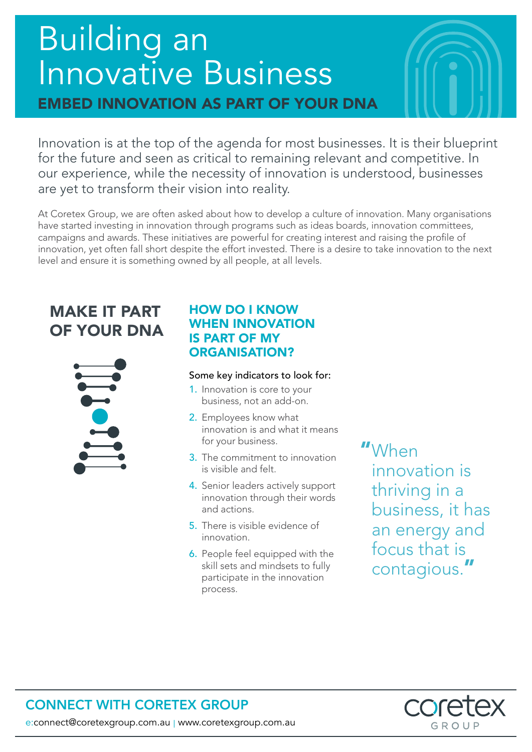# Building an Innovative Business EMBED INNOVATION AS PART OF YOUR DNA

Innovation is at the top of the agenda for most businesses. It is their blueprint for the future and seen as critical to remaining relevant and competitive. In our experience, while the necessity of innovation is understood, businesses are yet to transform their vision into reality.

At Coretex Group, we are often asked about how to develop a culture of innovation. Many organisations have started investing in innovation through programs such as ideas boards, innovation committees, campaigns and awards. These initiatives are powerful for creating interest and raising the profile of innovation, yet often fall short despite the effort invested. There is a desire to take innovation to the next level and ensure it is something owned by all people, at all levels.

# MAKE IT PART OF YOUR DNA



### HOW DO I KNOW WHEN INNOVATION IS PART OF MY ORGANISATION?

#### Some key indicators to look for:

- 1. Innovation is core to your business, not an add-on.
- 2. Employees know what innovation is and what it means for your business.
- 3. The commitment to innovation is visible and felt.
- 4. Senior leaders actively support innovation through their words and actions.
- 5. There is visible evidence of innovation.
- 6. People feel equipped with the skill sets and mindsets to fully participate in the innovation process.

# "When

innovation is thriving in a business, it has an energy and focus that is contagious."



## CONNECT WITH CORETEX GROUP

e:connect@coretexgroup.com.au | www.coretexgroup.com.au